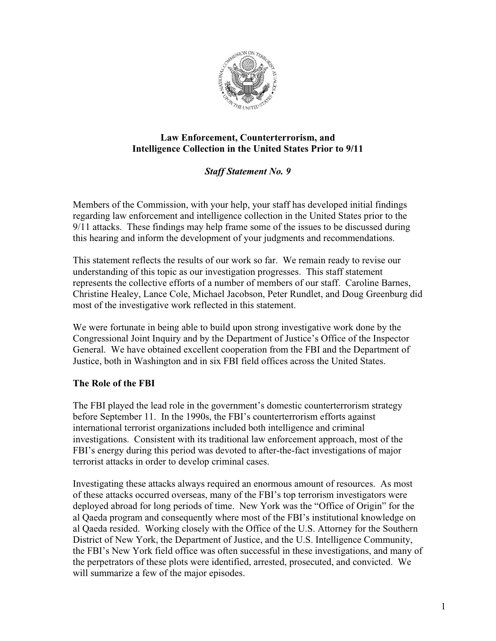

## **Law Enforcement, Counterterrorism, and Intelligence Collection in the United States Prior to 9/11**

# *Staff Statement No. 9*

Members of the Commission, with your help, your staff has developed initial findings regarding law enforcement and intelligence collection in the United States prior to the 9/11 attacks. These findings may help frame some of the issues to be discussed during this hearing and inform the development of your judgments and recommendations.

This statement reflects the results of our work so far. We remain ready to revise our understanding of this topic as our investigation progresses. This staff statement represents the collective efforts of a number of members of our staff. Caroline Barnes, Christine Healey, Lance Cole, Michael Jacobson, Peter Rundlet, and Doug Greenburg did most of the investigative work reflected in this statement.

We were fortunate in being able to build upon strong investigative work done by the Congressional Joint Inquiry and by the Department of Justice's Office of the Inspector General. We have obtained excellent cooperation from the FBI and the Department of Justice, both in Washington and in six FBI field offices across the United States.

## **The Role of the FBI**

The FBI played the lead role in the government's domestic counterterrorism strategy before September 11. In the 1990s, the FBI's counterterrorism efforts against international terrorist organizations included both intelligence and criminal investigations. Consistent with its traditional law enforcement approach, most of the FBI's energy during this period was devoted to after-the-fact investigations of major terrorist attacks in order to develop criminal cases.

Investigating these attacks always required an enormous amount of resources. As most of these attacks occurred overseas, many of the FBI's top terrorism investigators were deployed abroad for long periods of time. New York was the "Office of Origin" for the al Qaeda program and consequently where most of the FBI's institutional knowledge on al Qaeda resided. Working closely with the Office of the U.S. Attorney for the Southern District of New York, the Department of Justice, and the U.S. Intelligence Community, the FBI's New York field office was often successful in these investigations, and many of the perpetrators of these plots were identified, arrested, prosecuted, and convicted. We will summarize a few of the major episodes.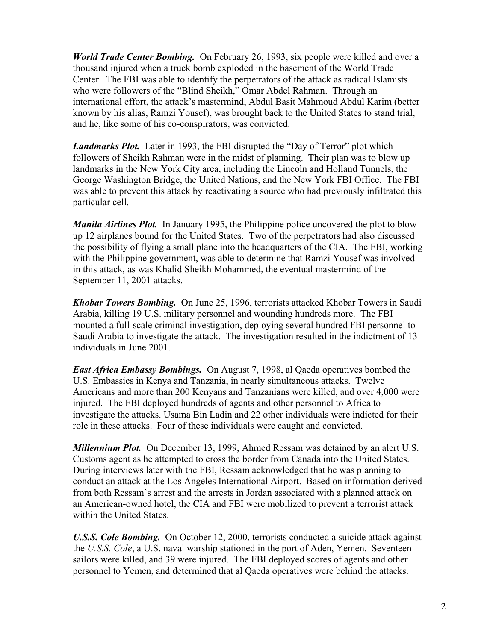*World Trade Center Bombing.* On February 26, 1993, six people were killed and over a thousand injured when a truck bomb exploded in the basement of the World Trade Center. The FBI was able to identify the perpetrators of the attack as radical Islamists who were followers of the "Blind Sheikh," Omar Abdel Rahman. Through an international effort, the attack's mastermind, Abdul Basit Mahmoud Abdul Karim (better known by his alias, Ramzi Yousef), was brought back to the United States to stand trial, and he, like some of his co-conspirators, was convicted.

*Landmarks Plot.* Later in 1993, the FBI disrupted the "Day of Terror" plot which followers of Sheikh Rahman were in the midst of planning. Their plan was to blow up landmarks in the New York City area, including the Lincoln and Holland Tunnels, the George Washington Bridge, the United Nations, and the New York FBI Office. The FBI was able to prevent this attack by reactivating a source who had previously infiltrated this particular cell.

*Manila Airlines Plot.* In January 1995, the Philippine police uncovered the plot to blow up 12 airplanes bound for the United States. Two of the perpetrators had also discussed the possibility of flying a small plane into the headquarters of the CIA. The FBI, working with the Philippine government, was able to determine that Ramzi Yousef was involved in this attack, as was Khalid Sheikh Mohammed, the eventual mastermind of the September 11, 2001 attacks.

*Khobar Towers Bombing.* On June 25, 1996, terrorists attacked Khobar Towers in Saudi Arabia, killing 19 U.S. military personnel and wounding hundreds more. The FBI mounted a full-scale criminal investigation, deploying several hundred FBI personnel to Saudi Arabia to investigate the attack. The investigation resulted in the indictment of 13 individuals in June 2001.

*East Africa Embassy Bombings.* On August 7, 1998, al Qaeda operatives bombed the U.S. Embassies in Kenya and Tanzania, in nearly simultaneous attacks. Twelve Americans and more than 200 Kenyans and Tanzanians were killed, and over 4,000 were injured. The FBI deployed hundreds of agents and other personnel to Africa to investigate the attacks. Usama Bin Ladin and 22 other individuals were indicted for their role in these attacks. Four of these individuals were caught and convicted.

*Millennium Plot.* On December 13, 1999, Ahmed Ressam was detained by an alert U.S. Customs agent as he attempted to cross the border from Canada into the United States. During interviews later with the FBI, Ressam acknowledged that he was planning to conduct an attack at the Los Angeles International Airport. Based on information derived from both Ressam's arrest and the arrests in Jordan associated with a planned attack on an American-owned hotel, the CIA and FBI were mobilized to prevent a terrorist attack within the United States.

*U.S.S. Cole Bombing.* On October 12, 2000, terrorists conducted a suicide attack against the *U.S.S. Cole*, a U.S. naval warship stationed in the port of Aden, Yemen. Seventeen sailors were killed, and 39 were injured. The FBI deployed scores of agents and other personnel to Yemen, and determined that al Qaeda operatives were behind the attacks.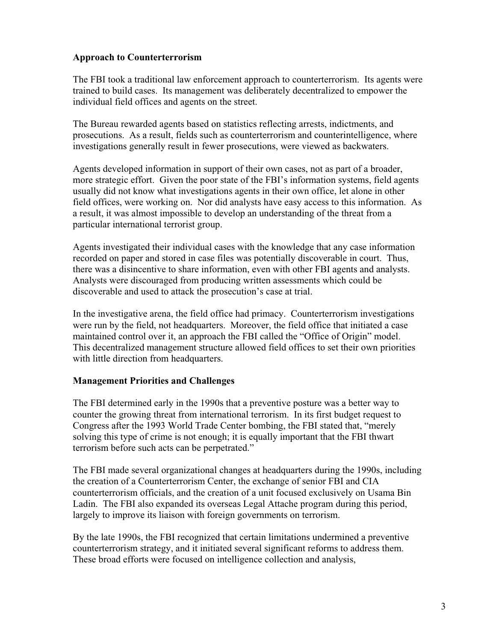### **Approach to Counterterrorism**

The FBI took a traditional law enforcement approach to counterterrorism. Its agents were trained to build cases. Its management was deliberately decentralized to empower the individual field offices and agents on the street.

The Bureau rewarded agents based on statistics reflecting arrests, indictments, and prosecutions. As a result, fields such as counterterrorism and counterintelligence, where investigations generally result in fewer prosecutions, were viewed as backwaters.

Agents developed information in support of their own cases, not as part of a broader, more strategic effort. Given the poor state of the FBI's information systems, field agents usually did not know what investigations agents in their own office, let alone in other field offices, were working on. Nor did analysts have easy access to this information. As a result, it was almost impossible to develop an understanding of the threat from a particular international terrorist group.

Agents investigated their individual cases with the knowledge that any case information recorded on paper and stored in case files was potentially discoverable in court. Thus, there was a disincentive to share information, even with other FBI agents and analysts. Analysts were discouraged from producing written assessments which could be discoverable and used to attack the prosecution's case at trial.

In the investigative arena, the field office had primacy. Counterterrorism investigations were run by the field, not headquarters. Moreover, the field office that initiated a case maintained control over it, an approach the FBI called the "Office of Origin" model. This decentralized management structure allowed field offices to set their own priorities with little direction from headquarters.

## **Management Priorities and Challenges**

The FBI determined early in the 1990s that a preventive posture was a better way to counter the growing threat from international terrorism. In its first budget request to Congress after the 1993 World Trade Center bombing, the FBI stated that, "merely solving this type of crime is not enough; it is equally important that the FBI thwart terrorism before such acts can be perpetrated."

The FBI made several organizational changes at headquarters during the 1990s, including the creation of a Counterterrorism Center, the exchange of senior FBI and CIA counterterrorism officials, and the creation of a unit focused exclusively on Usama Bin Ladin. The FBI also expanded its overseas Legal Attache program during this period, largely to improve its liaison with foreign governments on terrorism.

By the late 1990s, the FBI recognized that certain limitations undermined a preventive counterterrorism strategy, and it initiated several significant reforms to address them. These broad efforts were focused on intelligence collection and analysis,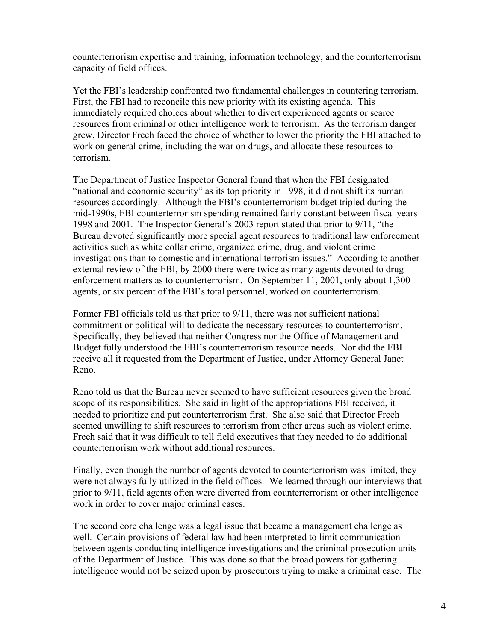counterterrorism expertise and training, information technology, and the counterterrorism capacity of field offices.

Yet the FBI's leadership confronted two fundamental challenges in countering terrorism. First, the FBI had to reconcile this new priority with its existing agenda. This immediately required choices about whether to divert experienced agents or scarce resources from criminal or other intelligence work to terrorism. As the terrorism danger grew, Director Freeh faced the choice of whether to lower the priority the FBI attached to work on general crime, including the war on drugs, and allocate these resources to terrorism.

The Department of Justice Inspector General found that when the FBI designated "national and economic security" as its top priority in 1998, it did not shift its human resources accordingly. Although the FBI's counterterrorism budget tripled during the mid-1990s, FBI counterterrorism spending remained fairly constant between fiscal years 1998 and 2001. The Inspector General's 2003 report stated that prior to 9/11, "the Bureau devoted significantly more special agent resources to traditional law enforcement activities such as white collar crime, organized crime, drug, and violent crime investigations than to domestic and international terrorism issues." According to another external review of the FBI, by 2000 there were twice as many agents devoted to drug enforcement matters as to counterterrorism. On September 11, 2001, only about 1,300 agents, or six percent of the FBI's total personnel, worked on counterterrorism.

Former FBI officials told us that prior to 9/11, there was not sufficient national commitment or political will to dedicate the necessary resources to counterterrorism. Specifically, they believed that neither Congress nor the Office of Management and Budget fully understood the FBI's counterterrorism resource needs. Nor did the FBI receive all it requested from the Department of Justice, under Attorney General Janet Reno.

Reno told us that the Bureau never seemed to have sufficient resources given the broad scope of its responsibilities. She said in light of the appropriations FBI received, it needed to prioritize and put counterterrorism first. She also said that Director Freeh seemed unwilling to shift resources to terrorism from other areas such as violent crime. Freeh said that it was difficult to tell field executives that they needed to do additional counterterrorism work without additional resources.

Finally, even though the number of agents devoted to counterterrorism was limited, they were not always fully utilized in the field offices. We learned through our interviews that prior to 9/11, field agents often were diverted from counterterrorism or other intelligence work in order to cover major criminal cases.

The second core challenge was a legal issue that became a management challenge as well. Certain provisions of federal law had been interpreted to limit communication between agents conducting intelligence investigations and the criminal prosecution units of the Department of Justice. This was done so that the broad powers for gathering intelligence would not be seized upon by prosecutors trying to make a criminal case. The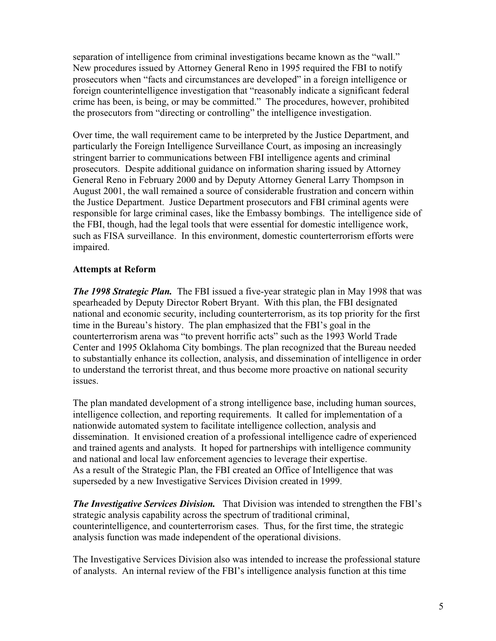separation of intelligence from criminal investigations became known as the "wall." New procedures issued by Attorney General Reno in 1995 required the FBI to notify prosecutors when "facts and circumstances are developed" in a foreign intelligence or foreign counterintelligence investigation that "reasonably indicate a significant federal crime has been, is being, or may be committed." The procedures, however, prohibited the prosecutors from "directing or controlling" the intelligence investigation.

Over time, the wall requirement came to be interpreted by the Justice Department, and particularly the Foreign Intelligence Surveillance Court, as imposing an increasingly stringent barrier to communications between FBI intelligence agents and criminal prosecutors. Despite additional guidance on information sharing issued by Attorney General Reno in February 2000 and by Deputy Attorney General Larry Thompson in August 2001, the wall remained a source of considerable frustration and concern within the Justice Department. Justice Department prosecutors and FBI criminal agents were responsible for large criminal cases, like the Embassy bombings. The intelligence side of the FBI, though, had the legal tools that were essential for domestic intelligence work, such as FISA surveillance. In this environment, domestic counterterrorism efforts were impaired.

#### **Attempts at Reform**

*The 1998 Strategic Plan.* The FBI issued a five-year strategic plan in May 1998 that was spearheaded by Deputy Director Robert Bryant. With this plan, the FBI designated national and economic security, including counterterrorism, as its top priority for the first time in the Bureau's history. The plan emphasized that the FBI's goal in the counterterrorism arena was "to prevent horrific acts" such as the 1993 World Trade Center and 1995 Oklahoma City bombings. The plan recognized that the Bureau needed to substantially enhance its collection, analysis, and dissemination of intelligence in order to understand the terrorist threat, and thus become more proactive on national security issues.

The plan mandated development of a strong intelligence base, including human sources, intelligence collection, and reporting requirements. It called for implementation of a nationwide automated system to facilitate intelligence collection, analysis and dissemination. It envisioned creation of a professional intelligence cadre of experienced and trained agents and analysts. It hoped for partnerships with intelligence community and national and local law enforcement agencies to leverage their expertise. As a result of the Strategic Plan, the FBI created an Office of Intelligence that was superseded by a new Investigative Services Division created in 1999.

*The Investigative Services Division.* That Division was intended to strengthen the FBI's strategic analysis capability across the spectrum of traditional criminal, counterintelligence, and counterterrorism cases. Thus, for the first time, the strategic analysis function was made independent of the operational divisions.

The Investigative Services Division also was intended to increase the professional stature of analysts. An internal review of the FBI's intelligence analysis function at this time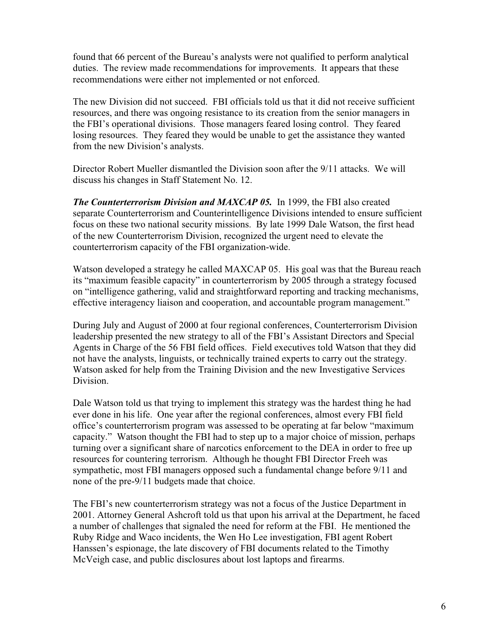found that 66 percent of the Bureau's analysts were not qualified to perform analytical duties. The review made recommendations for improvements. It appears that these recommendations were either not implemented or not enforced.

The new Division did not succeed. FBI officials told us that it did not receive sufficient resources, and there was ongoing resistance to its creation from the senior managers in the FBI's operational divisions. Those managers feared losing control. They feared losing resources. They feared they would be unable to get the assistance they wanted from the new Division's analysts.

Director Robert Mueller dismantled the Division soon after the 9/11 attacks. We will discuss his changes in Staff Statement No. 12.

*The Counterterrorism Division and MAXCAP 05.* In 1999, the FBI also created separate Counterterrorism and Counterintelligence Divisions intended to ensure sufficient focus on these two national security missions. By late 1999 Dale Watson, the first head of the new Counterterrorism Division, recognized the urgent need to elevate the counterterrorism capacity of the FBI organization-wide.

Watson developed a strategy he called MAXCAP 05. His goal was that the Bureau reach its "maximum feasible capacity" in counterterrorism by 2005 through a strategy focused on "intelligence gathering, valid and straightforward reporting and tracking mechanisms, effective interagency liaison and cooperation, and accountable program management."

During July and August of 2000 at four regional conferences, Counterterrorism Division leadership presented the new strategy to all of the FBI's Assistant Directors and Special Agents in Charge of the 56 FBI field offices. Field executives told Watson that they did not have the analysts, linguists, or technically trained experts to carry out the strategy. Watson asked for help from the Training Division and the new Investigative Services Division.

Dale Watson told us that trying to implement this strategy was the hardest thing he had ever done in his life. One year after the regional conferences, almost every FBI field office's counterterrorism program was assessed to be operating at far below "maximum capacity." Watson thought the FBI had to step up to a major choice of mission, perhaps turning over a significant share of narcotics enforcement to the DEA in order to free up resources for countering terrorism. Although he thought FBI Director Freeh was sympathetic, most FBI managers opposed such a fundamental change before 9/11 and none of the pre-9/11 budgets made that choice.

The FBI's new counterterrorism strategy was not a focus of the Justice Department in 2001. Attorney General Ashcroft told us that upon his arrival at the Department, he faced a number of challenges that signaled the need for reform at the FBI. He mentioned the Ruby Ridge and Waco incidents, the Wen Ho Lee investigation, FBI agent Robert Hanssen's espionage, the late discovery of FBI documents related to the Timothy McVeigh case, and public disclosures about lost laptops and firearms.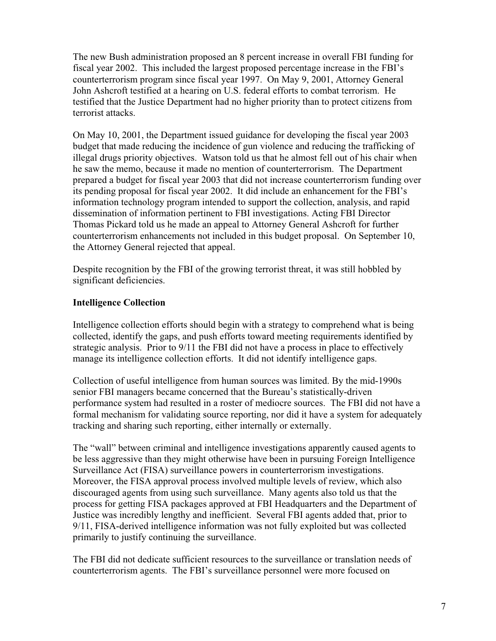The new Bush administration proposed an 8 percent increase in overall FBI funding for fiscal year 2002. This included the largest proposed percentage increase in the FBI's counterterrorism program since fiscal year 1997. On May 9, 2001, Attorney General John Ashcroft testified at a hearing on U.S. federal efforts to combat terrorism. He testified that the Justice Department had no higher priority than to protect citizens from terrorist attacks.

On May 10, 2001, the Department issued guidance for developing the fiscal year 2003 budget that made reducing the incidence of gun violence and reducing the trafficking of illegal drugs priority objectives. Watson told us that he almost fell out of his chair when he saw the memo, because it made no mention of counterterrorism. The Department prepared a budget for fiscal year 2003 that did not increase counterterrorism funding over its pending proposal for fiscal year 2002. It did include an enhancement for the FBI's information technology program intended to support the collection, analysis, and rapid dissemination of information pertinent to FBI investigations. Acting FBI Director Thomas Pickard told us he made an appeal to Attorney General Ashcroft for further counterterrorism enhancements not included in this budget proposal. On September 10, the Attorney General rejected that appeal.

Despite recognition by the FBI of the growing terrorist threat, it was still hobbled by significant deficiencies.

#### **Intelligence Collection**

Intelligence collection efforts should begin with a strategy to comprehend what is being collected, identify the gaps, and push efforts toward meeting requirements identified by strategic analysis. Prior to 9/11 the FBI did not have a process in place to effectively manage its intelligence collection efforts. It did not identify intelligence gaps.

Collection of useful intelligence from human sources was limited. By the mid-1990s senior FBI managers became concerned that the Bureau's statistically-driven performance system had resulted in a roster of mediocre sources. The FBI did not have a formal mechanism for validating source reporting, nor did it have a system for adequately tracking and sharing such reporting, either internally or externally.

The "wall" between criminal and intelligence investigations apparently caused agents to be less aggressive than they might otherwise have been in pursuing Foreign Intelligence Surveillance Act (FISA) surveillance powers in counterterrorism investigations. Moreover, the FISA approval process involved multiple levels of review, which also discouraged agents from using such surveillance. Many agents also told us that the process for getting FISA packages approved at FBI Headquarters and the Department of Justice was incredibly lengthy and inefficient. Several FBI agents added that, prior to 9/11, FISA-derived intelligence information was not fully exploited but was collected primarily to justify continuing the surveillance.

The FBI did not dedicate sufficient resources to the surveillance or translation needs of counterterrorism agents. The FBI's surveillance personnel were more focused on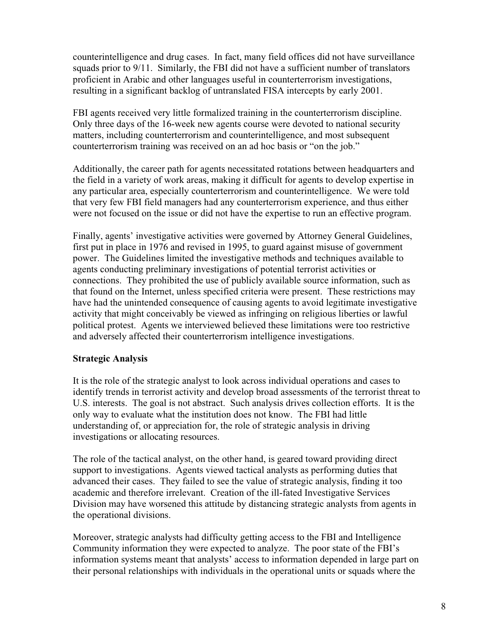counterintelligence and drug cases. In fact, many field offices did not have surveillance squads prior to 9/11. Similarly, the FBI did not have a sufficient number of translators proficient in Arabic and other languages useful in counterterrorism investigations, resulting in a significant backlog of untranslated FISA intercepts by early 2001.

FBI agents received very little formalized training in the counterterrorism discipline. Only three days of the 16-week new agents course were devoted to national security matters, including counterterrorism and counterintelligence, and most subsequent counterterrorism training was received on an ad hoc basis or "on the job."

Additionally, the career path for agents necessitated rotations between headquarters and the field in a variety of work areas, making it difficult for agents to develop expertise in any particular area, especially counterterrorism and counterintelligence. We were told that very few FBI field managers had any counterterrorism experience, and thus either were not focused on the issue or did not have the expertise to run an effective program.

Finally, agents' investigative activities were governed by Attorney General Guidelines, first put in place in 1976 and revised in 1995, to guard against misuse of government power. The Guidelines limited the investigative methods and techniques available to agents conducting preliminary investigations of potential terrorist activities or connections. They prohibited the use of publicly available source information, such as that found on the Internet, unless specified criteria were present. These restrictions may have had the unintended consequence of causing agents to avoid legitimate investigative activity that might conceivably be viewed as infringing on religious liberties or lawful political protest. Agents we interviewed believed these limitations were too restrictive and adversely affected their counterterrorism intelligence investigations.

## **Strategic Analysis**

It is the role of the strategic analyst to look across individual operations and cases to identify trends in terrorist activity and develop broad assessments of the terrorist threat to U.S. interests. The goal is not abstract. Such analysis drives collection efforts. It is the only way to evaluate what the institution does not know. The FBI had little understanding of, or appreciation for, the role of strategic analysis in driving investigations or allocating resources.

The role of the tactical analyst, on the other hand, is geared toward providing direct support to investigations. Agents viewed tactical analysts as performing duties that advanced their cases. They failed to see the value of strategic analysis, finding it too academic and therefore irrelevant. Creation of the ill-fated Investigative Services Division may have worsened this attitude by distancing strategic analysts from agents in the operational divisions.

Moreover, strategic analysts had difficulty getting access to the FBI and Intelligence Community information they were expected to analyze. The poor state of the FBI's information systems meant that analysts' access to information depended in large part on their personal relationships with individuals in the operational units or squads where the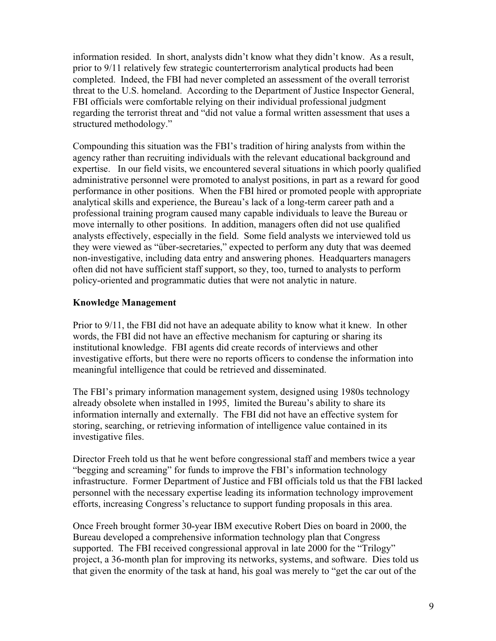information resided. In short, analysts didn't know what they didn't know. As a result, prior to 9/11 relatively few strategic counterterrorism analytical products had been completed. Indeed, the FBI had never completed an assessment of the overall terrorist threat to the U.S. homeland. According to the Department of Justice Inspector General, FBI officials were comfortable relying on their individual professional judgment regarding the terrorist threat and "did not value a formal written assessment that uses a structured methodology."

Compounding this situation was the FBI's tradition of hiring analysts from within the agency rather than recruiting individuals with the relevant educational background and expertise. In our field visits, we encountered several situations in which poorly qualified administrative personnel were promoted to analyst positions, in part as a reward for good performance in other positions. When the FBI hired or promoted people with appropriate analytical skills and experience, the Bureau's lack of a long-term career path and a professional training program caused many capable individuals to leave the Bureau or move internally to other positions. In addition, managers often did not use qualified analysts effectively, especially in the field. Some field analysts we interviewed told us they were viewed as "über-secretaries," expected to perform any duty that was deemed non-investigative, including data entry and answering phones. Headquarters managers often did not have sufficient staff support, so they, too, turned to analysts to perform policy-oriented and programmatic duties that were not analytic in nature.

## **Knowledge Management**

Prior to 9/11, the FBI did not have an adequate ability to know what it knew. In other words, the FBI did not have an effective mechanism for capturing or sharing its institutional knowledge. FBI agents did create records of interviews and other investigative efforts, but there were no reports officers to condense the information into meaningful intelligence that could be retrieved and disseminated.

The FBI's primary information management system, designed using 1980s technology already obsolete when installed in 1995, limited the Bureau's ability to share its information internally and externally. The FBI did not have an effective system for storing, searching, or retrieving information of intelligence value contained in its investigative files.

Director Freeh told us that he went before congressional staff and members twice a year "begging and screaming" for funds to improve the FBI's information technology infrastructure. Former Department of Justice and FBI officials told us that the FBI lacked personnel with the necessary expertise leading its information technology improvement efforts, increasing Congress's reluctance to support funding proposals in this area.

Once Freeh brought former 30-year IBM executive Robert Dies on board in 2000, the Bureau developed a comprehensive information technology plan that Congress supported. The FBI received congressional approval in late 2000 for the "Trilogy" project, a 36-month plan for improving its networks, systems, and software. Dies told us that given the enormity of the task at hand, his goal was merely to "get the car out of the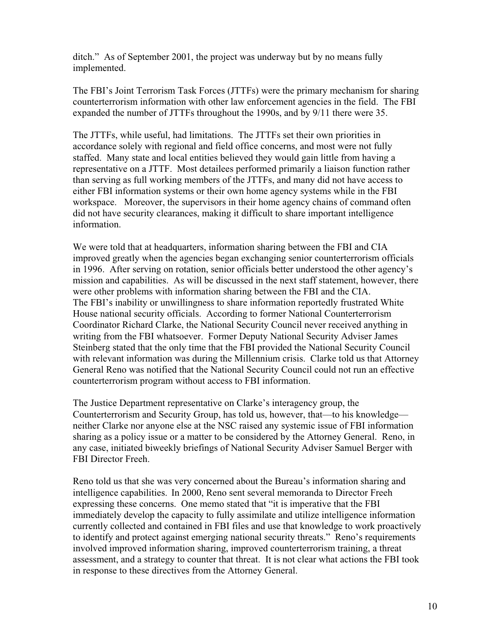ditch." As of September 2001, the project was underway but by no means fully implemented.

The FBI's Joint Terrorism Task Forces (JTTFs) were the primary mechanism for sharing counterterrorism information with other law enforcement agencies in the field. The FBI expanded the number of JTTFs throughout the 1990s, and by 9/11 there were 35.

The JTTFs, while useful, had limitations. The JTTFs set their own priorities in accordance solely with regional and field office concerns, and most were not fully staffed. Many state and local entities believed they would gain little from having a representative on a JTTF. Most detailees performed primarily a liaison function rather than serving as full working members of the JTTFs, and many did not have access to either FBI information systems or their own home agency systems while in the FBI workspace. Moreover, the supervisors in their home agency chains of command often did not have security clearances, making it difficult to share important intelligence information.

We were told that at headquarters, information sharing between the FBI and CIA improved greatly when the agencies began exchanging senior counterterrorism officials in 1996. After serving on rotation, senior officials better understood the other agency's mission and capabilities. As will be discussed in the next staff statement, however, there were other problems with information sharing between the FBI and the CIA. The FBI's inability or unwillingness to share information reportedly frustrated White House national security officials. According to former National Counterterrorism Coordinator Richard Clarke, the National Security Council never received anything in writing from the FBI whatsoever. Former Deputy National Security Adviser James Steinberg stated that the only time that the FBI provided the National Security Council with relevant information was during the Millennium crisis. Clarke told us that Attorney General Reno was notified that the National Security Council could not run an effective counterterrorism program without access to FBI information.

The Justice Department representative on Clarke's interagency group, the Counterterrorism and Security Group, has told us, however, that—to his knowledge neither Clarke nor anyone else at the NSC raised any systemic issue of FBI information sharing as a policy issue or a matter to be considered by the Attorney General. Reno, in any case, initiated biweekly briefings of National Security Adviser Samuel Berger with FBI Director Freeh.

Reno told us that she was very concerned about the Bureau's information sharing and intelligence capabilities. In 2000, Reno sent several memoranda to Director Freeh expressing these concerns. One memo stated that "it is imperative that the FBI immediately develop the capacity to fully assimilate and utilize intelligence information currently collected and contained in FBI files and use that knowledge to work proactively to identify and protect against emerging national security threats." Reno's requirements involved improved information sharing, improved counterterrorism training, a threat assessment, and a strategy to counter that threat. It is not clear what actions the FBI took in response to these directives from the Attorney General.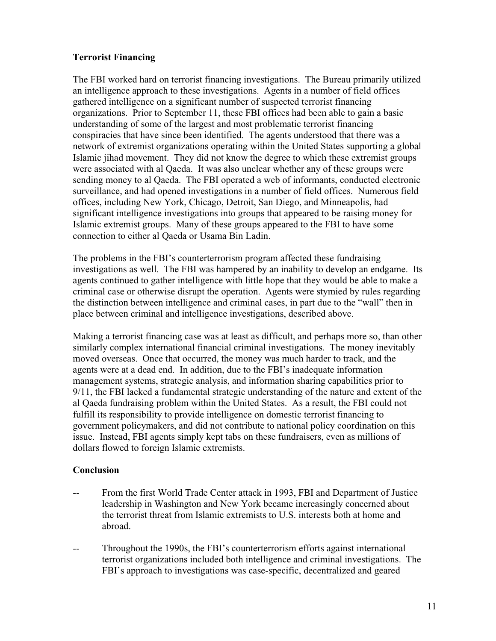### **Terrorist Financing**

The FBI worked hard on terrorist financing investigations. The Bureau primarily utilized an intelligence approach to these investigations. Agents in a number of field offices gathered intelligence on a significant number of suspected terrorist financing organizations. Prior to September 11, these FBI offices had been able to gain a basic understanding of some of the largest and most problematic terrorist financing conspiracies that have since been identified. The agents understood that there was a network of extremist organizations operating within the United States supporting a global Islamic jihad movement. They did not know the degree to which these extremist groups were associated with al Qaeda. It was also unclear whether any of these groups were sending money to al Qaeda. The FBI operated a web of informants, conducted electronic surveillance, and had opened investigations in a number of field offices. Numerous field offices, including New York, Chicago, Detroit, San Diego, and Minneapolis, had significant intelligence investigations into groups that appeared to be raising money for Islamic extremist groups. Many of these groups appeared to the FBI to have some connection to either al Qaeda or Usama Bin Ladin.

The problems in the FBI's counterterrorism program affected these fundraising investigations as well. The FBI was hampered by an inability to develop an endgame. Its agents continued to gather intelligence with little hope that they would be able to make a criminal case or otherwise disrupt the operation. Agents were stymied by rules regarding the distinction between intelligence and criminal cases, in part due to the "wall" then in place between criminal and intelligence investigations, described above.

Making a terrorist financing case was at least as difficult, and perhaps more so, than other similarly complex international financial criminal investigations. The money inevitably moved overseas. Once that occurred, the money was much harder to track, and the agents were at a dead end. In addition, due to the FBI's inadequate information management systems, strategic analysis, and information sharing capabilities prior to 9/11, the FBI lacked a fundamental strategic understanding of the nature and extent of the al Qaeda fundraising problem within the United States. As a result, the FBI could not fulfill its responsibility to provide intelligence on domestic terrorist financing to government policymakers, and did not contribute to national policy coordination on this issue. Instead, FBI agents simply kept tabs on these fundraisers, even as millions of dollars flowed to foreign Islamic extremists.

## **Conclusion**

- -- From the first World Trade Center attack in 1993, FBI and Department of Justice leadership in Washington and New York became increasingly concerned about the terrorist threat from Islamic extremists to U.S. interests both at home and abroad.
- -- Throughout the 1990s, the FBI's counterterrorism efforts against international terrorist organizations included both intelligence and criminal investigations. The FBI's approach to investigations was case-specific, decentralized and geared